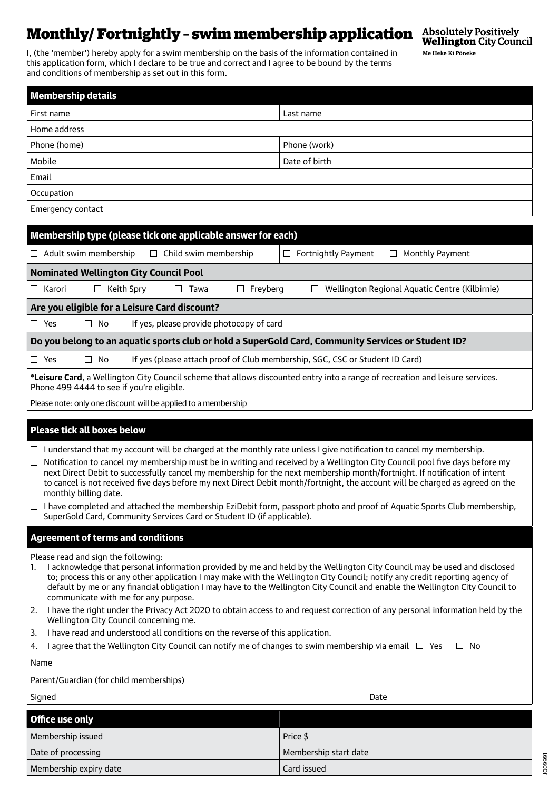# **Monthly/ Fortnightly - swim membership application** Absolutely Positively **Monthly/ Fortnightly - Swim membership application** (Mustlington City Council

I, (the 'member') hereby apply for a swim membership on the basis of the information contained in this application form, which I declare to be true and correct and I agree to be bound by the terms and conditions of membership as set out in this form.

J009991

Me Heke Ki Pōneke

| <b>Membership details</b>                                                                                                                                                                                                                                                                                                                                                                                                               |                                                |  |
|-----------------------------------------------------------------------------------------------------------------------------------------------------------------------------------------------------------------------------------------------------------------------------------------------------------------------------------------------------------------------------------------------------------------------------------------|------------------------------------------------|--|
| First name                                                                                                                                                                                                                                                                                                                                                                                                                              | Last name                                      |  |
| Home address                                                                                                                                                                                                                                                                                                                                                                                                                            |                                                |  |
| Phone (home)                                                                                                                                                                                                                                                                                                                                                                                                                            | Phone (work)                                   |  |
| Mobile                                                                                                                                                                                                                                                                                                                                                                                                                                  | Date of birth                                  |  |
| Email                                                                                                                                                                                                                                                                                                                                                                                                                                   |                                                |  |
| Occupation                                                                                                                                                                                                                                                                                                                                                                                                                              |                                                |  |
| Emergency contact                                                                                                                                                                                                                                                                                                                                                                                                                       |                                                |  |
|                                                                                                                                                                                                                                                                                                                                                                                                                                         |                                                |  |
| Membership type (please tick one applicable answer for each)                                                                                                                                                                                                                                                                                                                                                                            |                                                |  |
| $\Box$ Child swim membership<br>$\Box$ Adult swim membership                                                                                                                                                                                                                                                                                                                                                                            | Fortnightly Payment<br>Monthly Payment<br>⊔    |  |
| <b>Nominated Wellington City Council Pool</b>                                                                                                                                                                                                                                                                                                                                                                                           |                                                |  |
| $\Box$ Karori<br>Keith Spry<br>Freyberg<br>$\Box$<br>Tawa<br>⊔                                                                                                                                                                                                                                                                                                                                                                          | Wellington Regional Aquatic Centre (Kilbirnie) |  |
| Are you eligible for a Leisure Card discount?                                                                                                                                                                                                                                                                                                                                                                                           |                                                |  |
| $\Box$ Yes<br>If yes, please provide photocopy of card<br>$\Box$ No                                                                                                                                                                                                                                                                                                                                                                     |                                                |  |
| Do you belong to an aquatic sports club or hold a SuperGold Card, Community Services or Student ID?                                                                                                                                                                                                                                                                                                                                     |                                                |  |
| If yes (please attach proof of Club membership, SGC, CSC or Student ID Card)<br>$\Box$ Yes<br>$\Box$ No                                                                                                                                                                                                                                                                                                                                 |                                                |  |
| *Leisure Card, a Wellington City Council scheme that allows discounted entry into a range of recreation and leisure services.<br>Phone 499 4444 to see if you're eligible.                                                                                                                                                                                                                                                              |                                                |  |
| Please note: only one discount will be applied to a membership                                                                                                                                                                                                                                                                                                                                                                          |                                                |  |
|                                                                                                                                                                                                                                                                                                                                                                                                                                         |                                                |  |
| Please tick all boxes below                                                                                                                                                                                                                                                                                                                                                                                                             |                                                |  |
| $\Box$ I understand that my account will be charged at the monthly rate unless I give notification to cancel my membership.                                                                                                                                                                                                                                                                                                             |                                                |  |
| Notification to cancel my membership must be in writing and received by a Wellington City Council pool five days before my<br>$\Box$<br>next Direct Debit to successfully cancel my membership for the next membership month/fortnight. If notification of intent<br>to cancel is not received five days before my next Direct Debit month/fortnight, the account will be charged as agreed on the<br>monthly billing date.             |                                                |  |
| I have completed and attached the membership EziDebit form, passport photo and proof of Aquatic Sports Club membership,<br>SuperGold Card, Community Services Card or Student ID (if applicable).                                                                                                                                                                                                                                       |                                                |  |
| <b>Agreement of terms and conditions</b>                                                                                                                                                                                                                                                                                                                                                                                                |                                                |  |
| Please read and sign the following:                                                                                                                                                                                                                                                                                                                                                                                                     |                                                |  |
| I acknowledge that personal information provided by me and held by the Wellington City Council may be used and disclosed<br>1.<br>to; process this or any other application I may make with the Wellington City Council; notify any credit reporting agency of<br>default by me or any financial obligation I may have to the Wellington City Council and enable the Wellington City Council to<br>communicate with me for any purpose. |                                                |  |
| I have the right under the Privacy Act 2020 to obtain access to and request correction of any personal information held by the<br>2.<br>Wellington City Council concerning me.                                                                                                                                                                                                                                                          |                                                |  |
| I have read and understood all conditions on the reverse of this application.<br>3.                                                                                                                                                                                                                                                                                                                                                     |                                                |  |
| I agree that the Wellington City Council can notify me of changes to swim membership via email $\Box$ Yes<br>$\Box$ No<br>4.                                                                                                                                                                                                                                                                                                            |                                                |  |
| Name                                                                                                                                                                                                                                                                                                                                                                                                                                    |                                                |  |
| Parent/Guardian (for child memberships)                                                                                                                                                                                                                                                                                                                                                                                                 |                                                |  |
| Signed                                                                                                                                                                                                                                                                                                                                                                                                                                  | Date                                           |  |

| Office use only        |                       |
|------------------------|-----------------------|
| Membership issued      | Price \$              |
| Date of processing     | Membership start date |
| Membership expiry date | Card issued           |